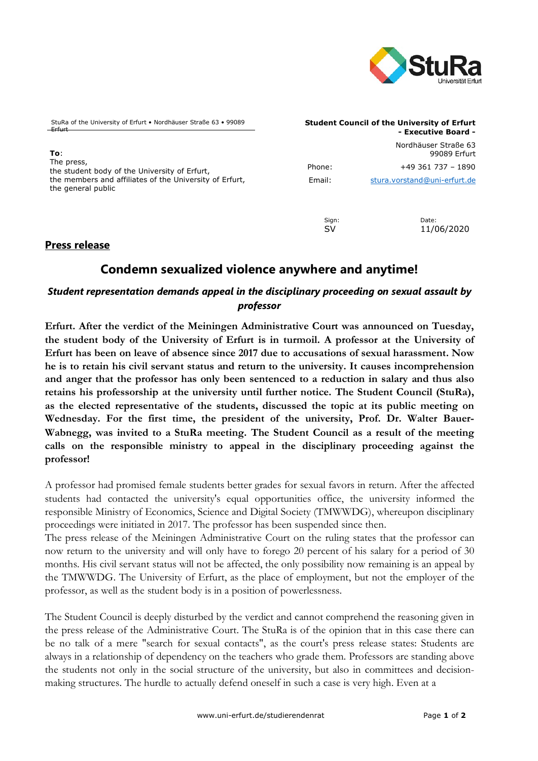

StuRa of the University of Erfurt • Nordhäuser Straße 63 • 99089 Erfurt

**To**: The press, the student body of the University of Erfurt, the members and affiliates of the University of Erfurt, the general public

#### **Student Council of the University of Erfurt - Executive Board -**

Nordhäuser Straße 63 99089 Erfurt Phone: +49 361 737 - 1890 Email: [stura.vorstand@uni-erfurt.de](mailto:stura.vorstand@uni-erfurt.de)

Sign: Date:

SV 11/06/2020

### **Press release**

# **Condemn sexualized violence anywhere and anytime!**

## *Student representation demands appeal in the disciplinary proceeding on sexual assault by professor*

**Erfurt. After the verdict of the Meiningen Administrative Court was announced on Tuesday, the student body of the University of Erfurt is in turmoil. A professor at the University of Erfurt has been on leave of absence since 2017 due to accusations of sexual harassment. Now he is to retain his civil servant status and return to the university. It causes incomprehension and anger that the professor has only been sentenced to a reduction in salary and thus also retains his professorship at the university until further notice. The Student Council (StuRa), as the elected representative of the students, discussed the topic at its public meeting on Wednesday. For the first time, the president of the university, Prof. Dr. Walter Bauer-Wabnegg, was invited to a StuRa meeting.  The Student Council as a result of the meeting calls on the responsible ministry to appeal in the disciplinary proceeding against the professor!**

A professor had promised female students better grades for sexual favors in return. After the affected students had contacted the university's equal opportunities office, the university informed the responsible Ministry of Economics, Science and Digital Society (TMWWDG), whereupon disciplinary proceedings were initiated in 2017. The professor has been suspended since then.

The press release of the Meiningen Administrative Court on the ruling states that the professor can now return to the university and will only have to forego 20 percent of his salary for a period of 30 months. His civil servant status will not be affected, the only possibility now remaining is an appeal by the TMWWDG. The University of Erfurt, as the place of employment, but not the employer of the professor, as well as the student body is in a position of powerlessness.

The Student Council is deeply disturbed by the verdict and cannot comprehend the reasoning given in the press release of the Administrative Court. The StuRa is of the opinion that in this case there can be no talk of a mere "search for sexual contacts", as the court's press release states: Students are always in a relationship of dependency on the teachers who grade them. Professors are standing above the students not only in the social structure of the university, but also in committees and decisionmaking structures. The hurdle to actually defend oneself in such a case is very high. Even at a